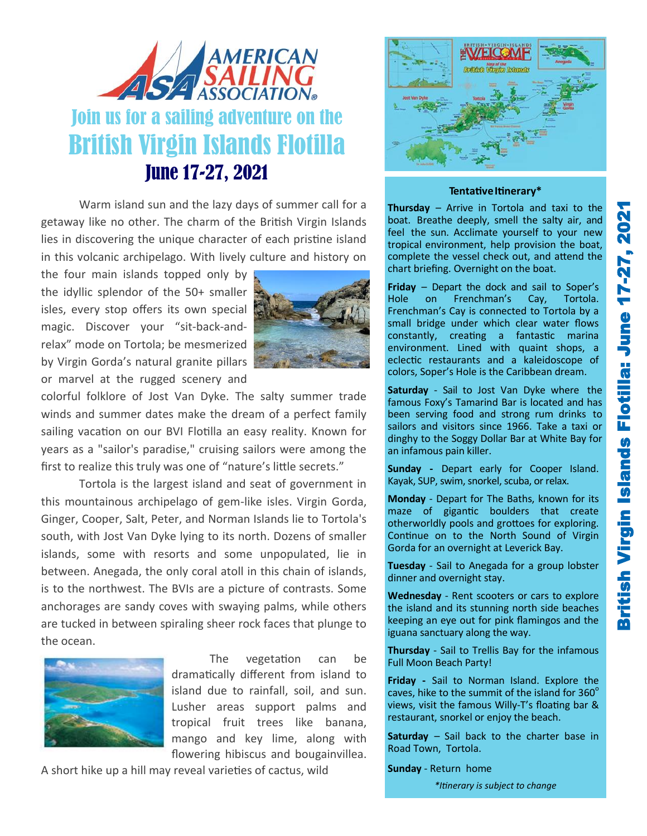

Warm island sun and the lazy days of summer call for a getaway like no other. The charm of the British Virgin Islands lies in discovering the unique character of each pristine island in this volcanic archipelago. With lively culture and history on

the four main islands topped only by the idyllic splendor of the 50+ smaller isles, every stop offers its own special magic. Discover your "sit-back-andrelax" mode on Tortola; be mesmerized by Virgin Gorda's natural granite pillars or marvel at the rugged scenery and



colorful folklore of Jost Van Dyke. The salty summer trade winds and summer dates make the dream of a perfect family sailing vacation on our BVI Flotilla an easy reality. Known for years as a "sailor's paradise," cruising sailors were among the first to realize this truly was one of "nature's little secrets."

Tortola is the largest island and seat of government in this mountainous archipelago of gem-like isles. Virgin Gorda, Ginger, Cooper, Salt, Peter, and Norman Islands lie to Tortola's south, with Jost Van Dyke lying to its north. Dozens of smaller islands, some with resorts and some unpopulated, lie in between. Anegada, the only coral atoll in this chain of islands, is to the northwest. The BVIs are a picture of contrasts. Some anchorages are sandy coves with swaying palms, while others are tucked in between spiraling sheer rock faces that plunge to the ocean.



The vegetation can be dramatically different from island to island due to rainfall, soil, and sun. Lusher areas support palms and tropical fruit trees like banana, mango and key lime, along with flowering hibiscus and bougainvillea.

A short hike up a hill may reveal varieties of cactus, wild



## Tentative Itinerary\*

**Thursday** – Arrive in Tortola and taxi to the boat. Breathe deeply, smell the salty air, and feel the sun. Acclimate yourself to your new tropical environment, help provision the boat, complete the vessel check out, and attend the chart briefing. Overnight on the boat.

**Friday** – Depart the dock and sail to Soper's Hole on Frenchman's Cay, Tortola. Frenchman's Cay is connected to Tortola by a small bridge under which clear water flows constantly, creating a fantastic marina environment. Lined with quaint shops, a eclectic restaurants and a kaleidoscope of colors, Soper's Hole is the Caribbean dream.

**Saturday** - Sail to Jost Van Dyke where the famous Foxy's Tamarind Bar is located and has been serving food and strong rum drinks to sailors and visitors since 1966. Take a taxi or dinghy to the Soggy Dollar Bar at White Bay for an infamous pain killer.

**Sunday -** Depart early for Cooper Island. Kayak, SUP, swim, snorkel, scuba, or relax.

**Monday** - Depart for The Baths, known for its maze of gigantic boulders that create otherworldly pools and grottoes for exploring. Continue on to the North Sound of Virgin Gorda for an overnight at Leverick Bay.

**Tuesday** - Sail to Anegada for a group lobster dinner and overnight stay.

**Wednesday** - Rent scooters or cars to explore the island and its stunning north side beaches keeping an eye out for pink flamingos and the iguana sanctuary along the way.

**Thursday** - Sail to Trellis Bay for the infamous Full Moon Beach Party!

**Friday -** Sail to Norman Island. Explore the caves, hike to the summit of the island for  $360^\circ$ views, visit the famous Willy-T's floating bar & restaurant, snorkel or enjoy the beach.

**Saturday** – Sail back to the charter base in Road Town, Tortola.

**Sunday** - Return home

*\*Itinerary is subject to change*